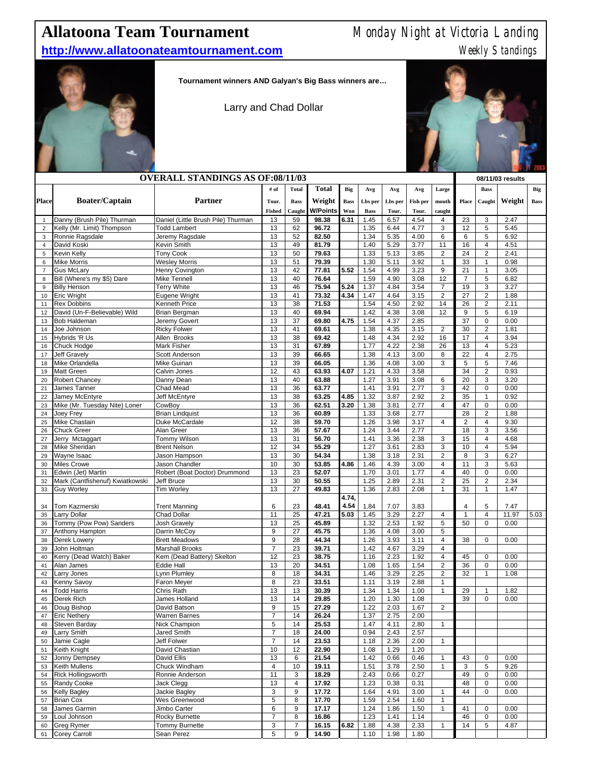## **Allatoona Team Tournament** Monday Night at Victoria Landing

## **http://www.allatoonateamtournament.com** Meekly Standings



**Tournament winners AND Galyan's Big Bass winners are…**

Larry and Chad Dollar



|                     | <b>OVERALL STANDINGS AS OF:08/11/03</b>         |                                                |                                  |                       |                 |             |                        |                  |              |                              | 08/11/03 results     |                     |              |             |
|---------------------|-------------------------------------------------|------------------------------------------------|----------------------------------|-----------------------|-----------------|-------------|------------------------|------------------|--------------|------------------------------|----------------------|---------------------|--------------|-------------|
|                     |                                                 |                                                | # of                             | <b>Total</b>          | <b>Total</b>    | Big         | Avg                    | Avg              | Avg          | Large                        |                      | <b>Bass</b>         |              | Big         |
| <b>Place</b>        | <b>Boater/Captain</b>                           | <b>Partner</b>                                 | Tour.                            |                       | Weight          | <b>Bass</b> |                        |                  | Fish per     |                              |                      |                     | Weight       |             |
|                     |                                                 |                                                | <b>Fished</b>                    | <b>Bass</b><br>Caught | <b>W/Points</b> | Won         | Lbs per<br><b>Bass</b> | Lbs per<br>Tour. | Tour.        | mouth<br>caught              | Place                | Caught              |              | <b>Bass</b> |
| $\mathbf{1}$        | Danny (Brush Pile) Thurman                      | Daniel (Little Brush Pile) Thurman             | 13                               | 59                    | 98.38           | 6.31        | 1.45                   | 6.57             | 4.54         | 4                            | 23                   | 3                   | 2.47         |             |
| $\overline{2}$      | Kelly (Mr. Limit) Thompson                      | <b>Todd Lambert</b>                            | 13                               | 62                    | 96.72           |             | 1.35                   | 6.44             | 4.77         | 3                            | 12                   | 5                   | 5.45         |             |
| 3                   | Ronnie Ragsdale                                 | Jeremy Ragsdale                                | 13                               | 52                    | 82.50           |             | 1.34                   | 5.35             | 4.00         | 6                            | 6                    | 5                   | 6.92         |             |
| $\overline{4}$      | David Koski                                     | Kevin Smith                                    | 13                               | 49                    | 81.79           |             | 1.40                   | 5.29             | 3.77         | 11                           | 16                   | 4                   | 4.51         |             |
| 5                   | Kevin Kelly                                     | <b>Tony Cook</b>                               | 13                               | 50                    | 79.63           |             | 1.33                   | 5.13             | 3.85         | $\overline{c}$               | 24                   | $\overline{2}$      | 2.41         |             |
| 6                   | <b>Mike Morris</b>                              | <b>Wesley Morris</b>                           | 13                               | 51                    | 79.39           |             | 1.30                   | 5.11             | 3.92         | 1                            | 33                   | $\mathbf{1}$        | 0.98         |             |
| $\overline{7}$<br>8 | <b>Gus McLary</b><br>Bill (Where's my \$5) Dare | Henry Covington<br><b>Mike Tennell</b>         | 13<br>13                         | 42<br>40              | 77.81<br>76.64  | 5.52        | 1.54<br>1.59           | 4.99<br>4.90     | 3.23<br>3.08 | 9<br>12                      | 21<br>$\overline{7}$ | 1<br>5              | 3.05<br>6.82 |             |
| 9                   | <b>Billy Henson</b>                             | <b>Terry White</b>                             | 13                               | 46                    | 75.94           | 5.24        | 1.37                   | 4.84             | 3.54         | $\overline{7}$               | 19                   | 3                   | 3.27         |             |
| 10                  | <b>Eric Wright</b>                              | Eugene Wright                                  | 13                               | 41                    | 73.32           | 4.34        | 1.47                   | 4.64             | 3.15         | $\mathbf 2$                  | 27                   | $\overline{2}$      | 1.88         |             |
| 11                  | <b>Rex Dobbins</b>                              | Kenneth Price                                  | 13                               | 38                    | 71.53           |             | 1.54                   | 4.50             | 2.92         | 14                           | 26                   | $\overline{c}$      | 2.11         |             |
| 12                  | David (Un-F-Believable) Wild                    | <b>Brian Bergman</b>                           | 13                               | 40                    | 69.94           |             | 1.42                   | 4.38             | 3.08         | 12                           | 9                    | 5                   | 6.19         |             |
| 13                  | <b>Bob Haldeman</b>                             | Jeremy Govert                                  | 13                               | 37                    | 69.80           | 4.75        | 1.54                   | 4.37             | 2.85         |                              | 37                   | 0                   | 0.00         |             |
| 14                  | Joe Johnson                                     | <b>Ricky Folwer</b>                            | 13                               | 41                    | 69.61           |             | 1.38                   | 4.35             | 3.15         | $\overline{2}$               | 30                   | $\overline{2}$      | 1.81         |             |
| 15                  | Hybrids 'R Us                                   | Allen Brooks                                   | 13                               | 38                    | 69.42           |             | 1.48                   | 4.34             | 2.92         | 16                           | 17                   | 4                   | 3.94         |             |
| 16<br>17            | Chuck Hodge<br><b>Jeff Gravely</b>              | Mark Fisher<br>Scott Anderson                  | 13<br>13                         | 31<br>39              | 67.89<br>66.65  |             | 1.77<br>1.38           | 4.22<br>4.13     | 2.38<br>3.00 | 26<br>8                      | 13<br>22             | 4<br>$\overline{4}$ | 5.23<br>2.75 |             |
| 18                  | Mike Orlandella                                 | Mike Guinan                                    | 13                               | 39                    | 66.05           |             | 1.36                   | 4.08             | 3.00         | 3                            | 5                    | 5                   | 7.46         |             |
| 19                  | <b>Matt Green</b>                               | Calvin Jones                                   | 12                               | 43                    | 63.93           | 4.07        | 1.21                   | 4.33             | 3.58         |                              | 34                   | $\overline{2}$      | 0.93         |             |
| 20                  | Robert Chancey                                  | Danny Dean                                     | 13                               | 40                    | 63.88           |             | 1.27                   | 3.91             | 3.08         | 6                            | 20                   | 3                   | 3.20         |             |
| 21                  | James Tanner                                    | Chad Mead                                      | 13                               | 36                    | 63.77           |             | 1.41                   | 3.91             | 2.77         | 3                            | 42                   | 0                   | 0.00         |             |
| 22                  | Jamey McEntyre                                  | Jeff McEntyre                                  | 13                               | 38                    | 63.25           | 4.85        | 1.32                   | 3.87             | 2.92         | $\overline{c}$               | 35                   | $\mathbf{1}$        | 0.92         |             |
| 23                  | Mike (Mr. Tuesday Nite) Loner                   | CowBoy                                         | 13                               | 36                    | 62.51           | 3.20        | 1.38                   | 3.81             | 2.77         | $\overline{\mathbf{4}}$      | 47                   | 0                   | 0.00         |             |
| 24                  | Joey Frey                                       | <b>Brian Lindquist</b>                         | 13                               | 36                    | 60.89           |             | 1.33                   | 3.68             | 2.77         |                              | 28                   | $\overline{2}$      | 1.88         |             |
| 25                  | <b>Mike Chastain</b>                            | Duke McCardale                                 | 12                               | 38                    | 59.70           |             | 1.26                   | 3.98             | 3.17         | 4                            | 2                    | $\overline{4}$      | 9.30         |             |
| 26                  | <b>Chuck Greer</b>                              | Alan Greer                                     | 13                               | 36                    | 57.67           |             | 1.24                   | 3.44             | 2.77         |                              | 18                   | 3                   | 3.56         |             |
| 27                  | Jerry Mctaggart<br>Mike Sheridan                | Tommy Wilson<br><b>Brent Nelson</b>            | 13<br>12                         | 31<br>34              | 56.70<br>55.29  |             | 1.41<br>1.27           | 3.36<br>3.61     | 2.38<br>2.83 | 3<br>3                       | 15<br>10             | 4<br>4              | 4.68<br>5.94 |             |
| 28<br>29            | Wayne Isaac                                     | Jason Hampson                                  | 13                               | 30                    | 54.34           |             | 1.38                   | 3.18             | 2.31         | $\overline{\mathbf{c}}$      | 8                    | 3                   | 6.27         |             |
| 30                  | <b>Miles Crowe</b>                              | Jason Chandler                                 | 10                               | 30                    | 53.85           | 4.86        | 1.46                   | 4.39             | 3.00         | $\overline{\mathbf{4}}$      | 11                   | 3                   | 5.63         |             |
| 31                  | Edwin (Jet) Martin                              | Robert (Boat Doctor) Drummond                  | 13                               | 23                    | 52.07           |             | 1.70                   | 3.01             | 1.77         | $\overline{\mathbf{4}}$      | 40                   | 0                   | 0.00         |             |
| 32                  | Mark (Cantfishenuf) Kwiatkowski                 | Jeff Bruce                                     | 13                               | 30                    | 50.55           |             | 1.25                   | 2.89             | 2.31         | $\overline{c}$               | 25                   | $\overline{2}$      | 2.34         |             |
| 33                  | <b>Guy Worley</b>                               | <b>Tim Worley</b>                              | 13                               | 27                    | 49.83           |             | 1.36                   | 2.83             | 2.08         | 1                            | 31                   | $\mathbf{1}$        | 1.47         |             |
|                     |                                                 |                                                |                                  |                       |                 | 4.74,       |                        |                  |              |                              |                      |                     |              |             |
| 34                  | Tom Kazmerski                                   | <b>Trent Manning</b>                           | 6                                | 23                    | 48.41           | 4.54        | 1.84                   | 7.07             | 3.83         |                              | 4                    | 5                   | 7.47         |             |
| 35                  | Larry Dollar                                    | <b>Chad Dollar</b>                             | 11                               | 25                    | 47.21           | 5.03        | 1.45                   | 3.29             | 2.27         | $\overline{4}$               | $\mathbf{1}$         | $\overline{4}$      | 11.97        | 5.03        |
| 36                  | Tommy (Pow Pow) Sanders                         | Josh Gravely                                   | 13                               | 25                    | 45.89           |             | 1.32                   | 2.53             | 1.92         | 5                            | 50                   | 0                   | 0.00         |             |
| 37                  | Anthony Hampton                                 | Darrin McCoy                                   | 9                                | 27                    | 45.75           |             | 1.36                   | 4.08             | 3.00         | 5                            |                      |                     |              |             |
| 38<br>39            | Derek Lowery<br>John Holtman                    | <b>Brett Meadows</b><br><b>Marshall Brooks</b> | 9<br>$\overline{7}$              | 28<br>23              | 44.34<br>39.71  |             | 1.26<br>1.42           | 3.93<br>4.67     | 3.11<br>3.29 | 4<br>$\overline{\mathbf{4}}$ | 38                   | 0                   | 0.00         |             |
| 40                  | Kerry (Dead Watch) Baker                        | Kem (Dead Battery) Skelton                     | 12                               | 23                    | 38.75           |             | 1.16                   | 2.23             | 1.92         | $\overline{\mathbf{4}}$      | 45                   | 0                   | 0.00         |             |
| 41                  | Alan James                                      | <b>Eddie Hall</b>                              | 13                               | 20                    | 34.51           |             | 1.08                   | 1.65             | 1.54         | $\overline{2}$               | 36                   | 0                   | 0.00         |             |
| 42                  | Larry Jones                                     | Lynn Plumley                                   | 8                                | 18                    | 34.31           |             | 1.46                   | 3.29             | 2.25         | $\overline{2}$               | 32                   | 1                   | 1.08         |             |
| 43                  | <b>Kenny Savoy</b>                              | Faron Meyer                                    | 8                                | 23                    | 33.51           |             | 1.11                   | 3.19             | 2.88         | $\mathbf{1}$                 |                      |                     |              |             |
| 44                  | <b>Todd Harris</b>                              | Chris Rath                                     | 13                               | 13                    | 30.39           |             | 1.34                   | 1.34             | 1.00         | $\mathbf{1}$                 | 29                   | $\mathbf{1}$        | 1.82         |             |
| 45                  | Derek Rich                                      | James Holland                                  | 13                               | 14                    | 29.85           |             | 1.20                   | 1.30             | 1.08         |                              | 39                   | $\mathbf 0$         | 0.00         |             |
| 46                  | Doug Bishop                                     | David Batson                                   | 9                                | 15                    | 27.29           |             | 1.22                   | 2.03             | 1.67         | 2                            |                      |                     |              |             |
| 47                  | <b>Eric Nethery</b>                             | <b>Warren Barnes</b>                           | $\overline{7}$                   | 14                    | 26.24           |             | 1.37                   | 2.75             | 2.00         |                              |                      |                     |              |             |
| 48                  | <b>Steven Barday</b>                            | Nick Champion                                  | 5                                | 14                    | 25.53           |             | 1.47                   | 4.11             | 2.80         | $\mathbf{1}$                 |                      |                     |              |             |
| 49                  | Larry Smith                                     | <b>Jared Smith</b><br>Jeff Folwer              | $\overline{7}$<br>$\overline{7}$ | 18<br>14              | 24.00<br>23.53  |             | 0.94                   | 2.43             | 2.57         |                              |                      |                     |              |             |
| 50<br>51            | Jamie Cagle<br>Keith Knight                     | David Chastian                                 | 10                               | 12                    | 22.90           |             | 1.18<br>1.08           | 2.36<br>1.29     | 2.00<br>1.20 | $\mathbf{1}$                 |                      |                     |              |             |
| 52                  | Jonny Dempsey                                   | David Ellis                                    | 13                               | 6                     | 21.54           |             | 1.42                   | 0.66             | 0.46         | 1                            | 43                   | 0                   | 0.00         |             |
| 53                  | Keith Mullens                                   | Chuck Windham                                  | 4                                | 10                    | 19.11           |             | 1.51                   | 3.78             | 2.50         | $\mathbf{1}$                 | 3                    | 5                   | 9.26         |             |
| 54                  | <b>Rick Hollingsworth</b>                       | Ronnie Anderson                                | 11                               | 3                     | 18.29           |             | 2.43                   | 0.66             | 0.27         |                              | 49                   | 0                   | 0.00         |             |
| 55                  | Randy Cooke                                     | Jack Clegg                                     | 13                               | 4                     | 17.92           |             | 1.23                   | 0.38             | 0.31         |                              | 48                   | 0                   | 0.00         |             |
| 56                  | <b>Kelly Bagley</b>                             | Jackie Bagley                                  | 3                                | 9                     | 17.72           |             | 1.64                   | 4.91             | 3.00         | $\mathbf{1}$                 | 44                   | 0                   | 0.00         |             |
| 57                  | <b>Brian Cox</b>                                | Wes Greenwood                                  | 5                                | 8                     | 17.70           |             | 1.59                   | 2.54             | 1.60         | $\mathbf{1}$                 |                      |                     |              |             |
| 58                  | James Garmin                                    | Jimbo Carter                                   | 6                                | 9                     | 17.17           |             | 1.24                   | 1.86             | 1.50         | 1                            | 41                   | 0                   | 0.00         |             |
| 59                  | Loul Johnson                                    | Rocky Burnette                                 | $\overline{7}$                   | 8                     | 16.86           |             | 1.23                   | 1.41             | 1.14         |                              | 46                   | 0                   | 0.00         |             |
| 60                  | <b>Greg Rymer</b>                               | Tommy Burnette                                 | 3                                | $\overline{7}$        | 16.15           | 6.82        | 1.88                   | 4.38             | 2.33         | 1                            | 14                   | 5                   | 4.87         |             |
| 61                  | <b>Corey Carroll</b>                            | Sean Perez                                     | 5                                | 9                     | 14.90           |             | 1.10                   | 1.98             | 1.80         |                              |                      |                     |              |             |